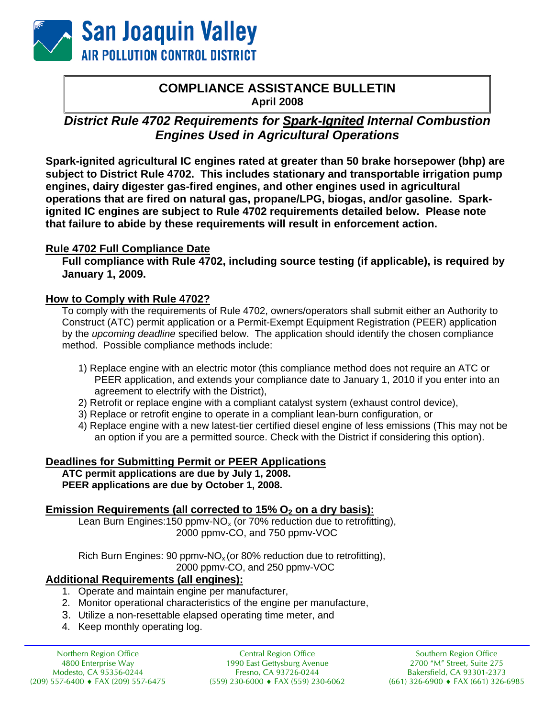

## **COMPLIANCE ASSISTANCE BULLETIN April 2008**

# **District Rule 4702 Requirements for Spark-Ignited Internal Combustion** *Engines Used in Agricultural Operations*

**Spark-ignited agricultural IC engines rated at greater than 50 brake horsepower (bhp) are subject to District Rule 4702. This includes stationary and transportable irrigation pump engines, dairy digester gas-fired engines, and other engines used in agricultural operations that are fired on natural gas, propane/LPG, biogas, and/or gasoline. Sparkignited IC engines are subject to Rule 4702 requirements detailed below. Please note that failure to abide by these requirements will result in enforcement action.** 

## **Rule 4702 Full Compliance Date**

**Full compliance with Rule 4702, including source testing (if applicable), is required by January 1, 2009.** 

## **How to Comply with Rule 4702?**

To comply with the requirements of Rule 4702, owners/operators shall submit either an Authority to Construct (ATC) permit application or a Permit-Exempt Equipment Registration (PEER) application by the *upcoming deadline* specified below. The application should identify the chosen compliance method. Possible compliance methods include:

- 1) Replace engine with an electric motor (this compliance method does not require an ATC or PEER application, and extends your compliance date to January 1, 2010 if you enter into an agreement to electrify with the District),
- 2) Retrofit or replace engine with a compliant catalyst system (exhaust control device),
- 3) Replace or retrofit engine to operate in a compliant lean-burn configuration, or
- 4) Replace engine with a new latest-tier certified diesel engine of less emissions (This may not be an option if you are a permitted source. Check with the District if considering this option).

## **Deadlines for Submitting Permit or PEER Applications**

**ATC permit applications are due by July 1, 2008. PEER applications are due by October 1, 2008.** 

## **Emission Requirements (all corrected to 15% O<sub>2</sub> on a dry basis):**

Lean Burn Engines: 150 ppmv-NO<sub>x</sub> (or 70% reduction due to retrofitting), 2000 ppmv-CO, and 750 ppmv-VOC

Rich Burn Engines: 90 ppmv- $NO<sub>x</sub>$  (or 80% reduction due to retrofitting), 2000 ppmv-CO, and 250 ppmv-VOC

## **Additional Requirements (all engines):**

- 1. Operate and maintain engine per manufacturer,
- 2. Monitor operational characteristics of the engine per manufacture,
- 3. Utilize a non-resettable elapsed operating time meter, and
- 4. Keep monthly operating log.

Northern Region Office 4800 Enterprise Way Modesto, CA 95356-0244 (209) 557-6400 ♦ FAX (209) 557-6475

Central Region Office 1990 East Gettysburg Avenue Fresno, CA 93726-0244 (559) 230-6000 ♦ FAX (559) 230-6062

Southern Region Office 2700 "M" Street, Suite 275 Bakersfield, CA 93301-2373 (661) 326-6900 ♦ FAX (661) 326-6985